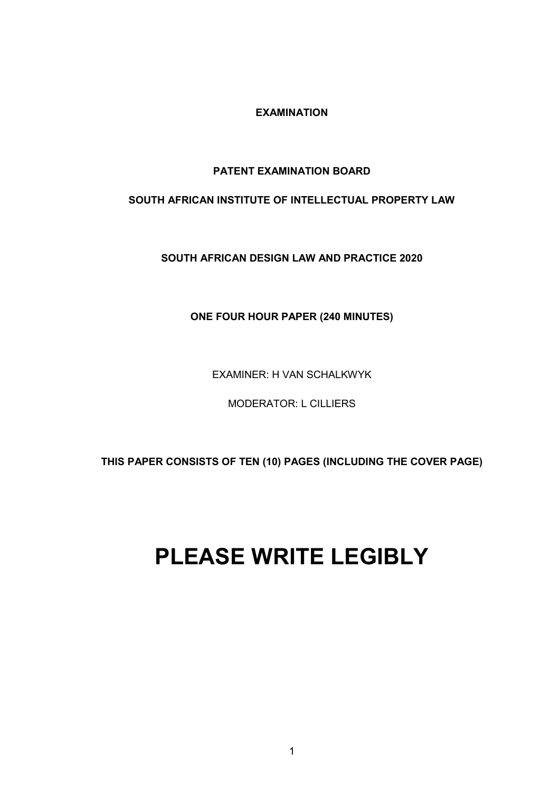**EXAMINATION**

## **PATENT EXAMINATION BOARD**

## **SOUTH AFRICAN INSTITUTE OF INTELLECTUAL PROPERTY LAW**

**SOUTH AFRICAN DESIGN LAW AND PRACTICE 2020**

## **ONE FOUR HOUR PAPER (240 MINUTES)**

EXAMINER: H VAN SCHALKWYK

MODERATOR: L CILLIERS

**THIS PAPER CONSISTS OF TEN (10) PAGES (INCLUDING THE COVER PAGE)** 

# **PLEASE WRITE LEGIBLY**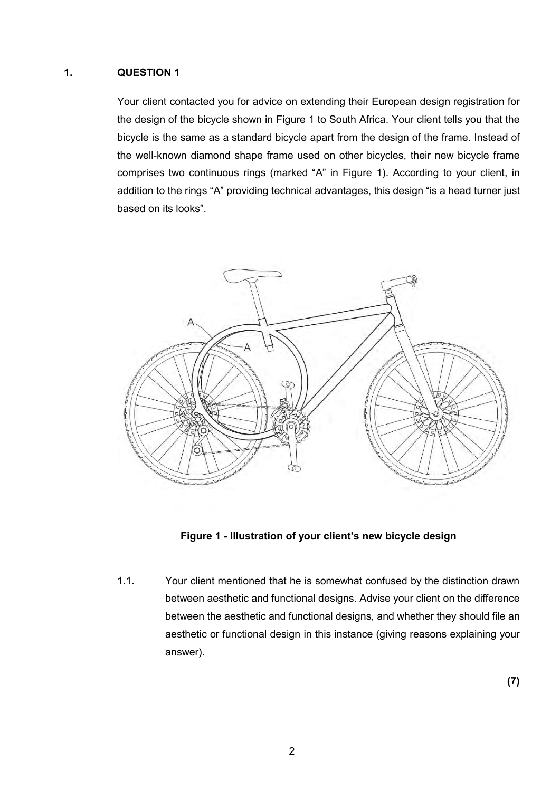### **1. QUESTION 1**

Your client contacted you for advice on extending their European design registration for the design of the bicycle shown in Figure 1 to South Africa. Your client tells you that the bicycle is the same as a standard bicycle apart from the design of the frame. Instead of the well-known diamond shape frame used on other bicycles, their new bicycle frame comprises two continuous rings (marked "A" in Figure 1). According to your client, in addition to the rings "A" providing technical advantages, this design "is a head turner just based on its looks".





1.1. Your client mentioned that he is somewhat confused by the distinction drawn between aesthetic and functional designs. Advise your client on the difference between the aesthetic and functional designs, and whether they should file an aesthetic or functional design in this instance (giving reasons explaining your answer).

**(7)**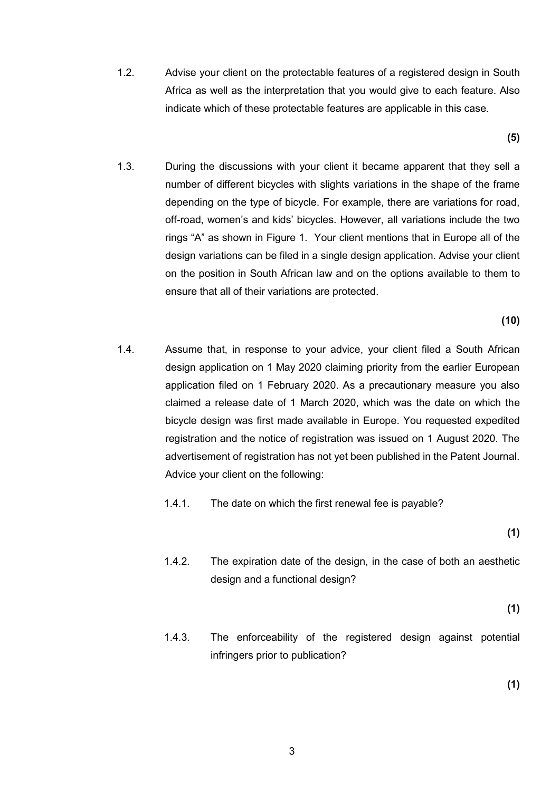1.2. Advise your client on the protectable features of a registered design in South Africa as well as the interpretation that you would give to each feature. Also indicate which of these protectable features are applicable in this case.

**(5)**

1.3. During the discussions with your client it became apparent that they sell a number of different bicycles with slights variations in the shape of the frame depending on the type of bicycle. For example, there are variations for road, off-road, women's and kids' bicycles. However, all variations include the two rings "A" as shown in Figure 1. Your client mentions that in Europe all of the design variations can be filed in a single design application. Advise your client on the position in South African law and on the options available to them to ensure that all of their variations are protected.

**(10)**

- 1.4. Assume that, in response to your advice, your client filed a South African design application on 1 May 2020 claiming priority from the earlier European application filed on 1 February 2020. As a precautionary measure you also claimed a release date of 1 March 2020, which was the date on which the bicycle design was first made available in Europe. You requested expedited registration and the notice of registration was issued on 1 August 2020. The advertisement of registration has not yet been published in the Patent Journal. Advice your client on the following:
	- 1.4.1. The date on which the first renewal fee is payable?

**(1)**

1.4.2. The expiration date of the design, in the case of both an aesthetic design and a functional design?

**(1)**

1.4.3. The enforceability of the registered design against potential infringers prior to publication?

**(1)**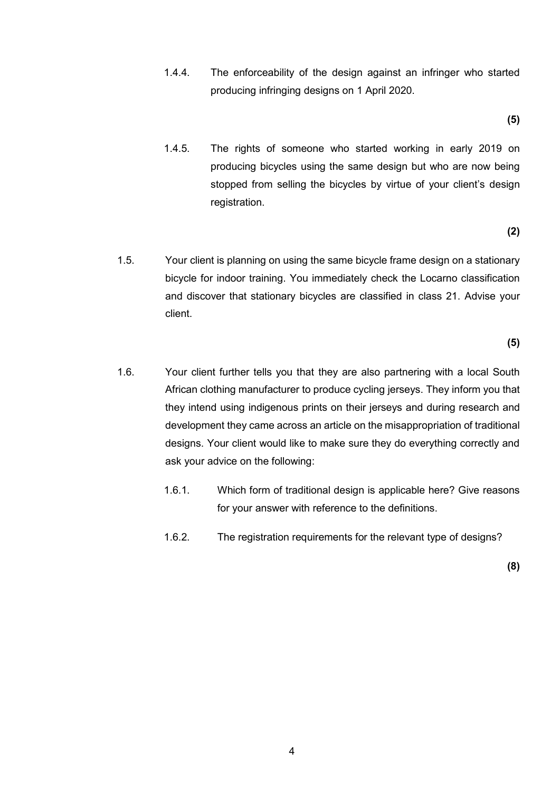1.4.4. The enforceability of the design against an infringer who started producing infringing designs on 1 April 2020.

**(5)**

1.4.5. The rights of someone who started working in early 2019 on producing bicycles using the same design but who are now being stopped from selling the bicycles by virtue of your client's design registration.

**(2)**

1.5. Your client is planning on using the same bicycle frame design on a stationary bicycle for indoor training. You immediately check the Locarno classification and discover that stationary bicycles are classified in class 21. Advise your client.

**(5)**

- 1.6. Your client further tells you that they are also partnering with a local South African clothing manufacturer to produce cycling jerseys. They inform you that they intend using indigenous prints on their jerseys and during research and development they came across an article on the misappropriation of traditional designs. Your client would like to make sure they do everything correctly and ask your advice on the following:
	- 1.6.1. Which form of traditional design is applicable here? Give reasons for your answer with reference to the definitions.
	- 1.6.2. The registration requirements for the relevant type of designs?

**(8)**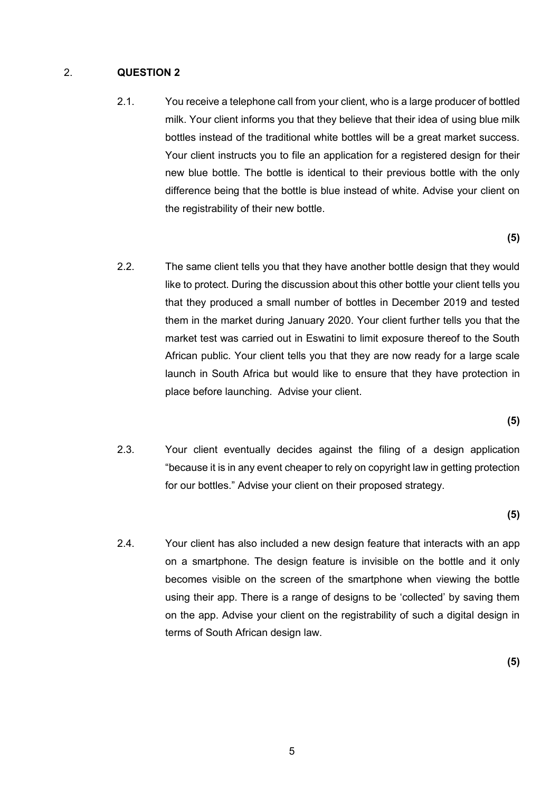#### 2. **QUESTION 2**

2.1. You receive a telephone call from your client, who is a large producer of bottled milk. Your client informs you that they believe that their idea of using blue milk bottles instead of the traditional white bottles will be a great market success. Your client instructs you to file an application for a registered design for their new blue bottle. The bottle is identical to their previous bottle with the only difference being that the bottle is blue instead of white. Advise your client on the registrability of their new bottle.

**(5)**

2.2. The same client tells you that they have another bottle design that they would like to protect. During the discussion about this other bottle your client tells you that they produced a small number of bottles in December 2019 and tested them in the market during January 2020. Your client further tells you that the market test was carried out in Eswatini to limit exposure thereof to the South African public. Your client tells you that they are now ready for a large scale launch in South Africa but would like to ensure that they have protection in place before launching. Advise your client.

**(5)**

2.3. Your client eventually decides against the filing of a design application "because it is in any event cheaper to rely on copyright law in getting protection for our bottles." Advise your client on their proposed strategy.

**(5)**

2.4. Your client has also included a new design feature that interacts with an app on a smartphone. The design feature is invisible on the bottle and it only becomes visible on the screen of the smartphone when viewing the bottle using their app. There is a range of designs to be 'collected' by saving them on the app. Advise your client on the registrability of such a digital design in terms of South African design law.

**(5)**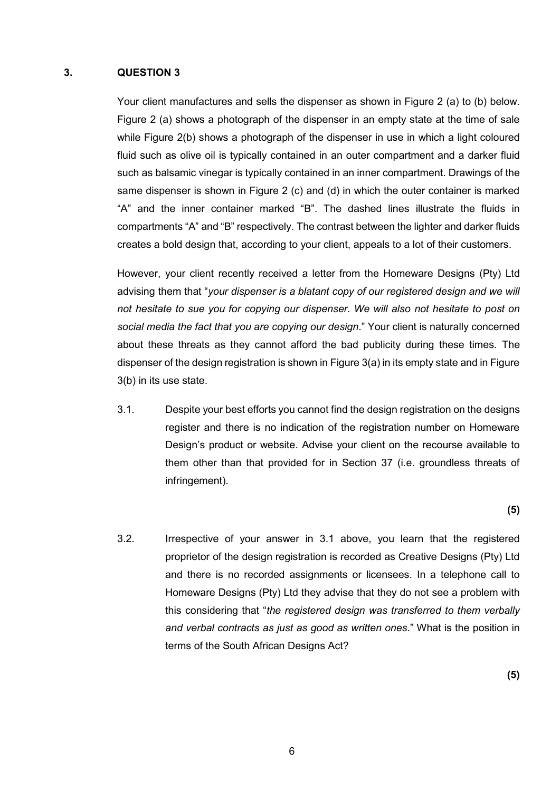#### **3. QUESTION 3**

Your client manufactures and sells the dispenser as shown in Figure 2 (a) to (b) below. Figure 2 (a) shows a photograph of the dispenser in an empty state at the time of sale while Figure 2(b) shows a photograph of the dispenser in use in which a light coloured fluid such as olive oil is typically contained in an outer compartment and a darker fluid such as balsamic vinegar is typically contained in an inner compartment. Drawings of the same dispenser is shown in Figure 2 (c) and (d) in which the outer container is marked "A" and the inner container marked "B". The dashed lines illustrate the fluids in compartments "A" and "B" respectively. The contrast between the lighter and darker fluids creates a bold design that, according to your client, appeals to a lot of their customers.

However, your client recently received a letter from the Homeware Designs (Pty) Ltd advising them that "*your dispenser is a blatant copy of our registered design and we will not hesitate to sue you for copying our dispenser. We will also not hesitate to post on social media the fact that you are copying our design*." Your client is naturally concerned about these threats as they cannot afford the bad publicity during these times. The dispenser of the design registration is shown in Figure 3(a) in its empty state and in Figure 3(b) in its use state.

3.1. Despite your best efforts you cannot find the design registration on the designs register and there is no indication of the registration number on Homeware Design's product or website. Advise your client on the recourse available to them other than that provided for in Section 37 (i.e. groundless threats of infringement).

**(5)**

3.2. Irrespective of your answer in 3.1 above, you learn that the registered proprietor of the design registration is recorded as Creative Designs (Pty) Ltd and there is no recorded assignments or licensees. In a telephone call to Homeware Designs (Pty) Ltd they advise that they do not see a problem with this considering that "*the registered design was transferred to them verbally and verbal contracts as just as good as written ones*." What is the position in terms of the South African Designs Act?

**(5)**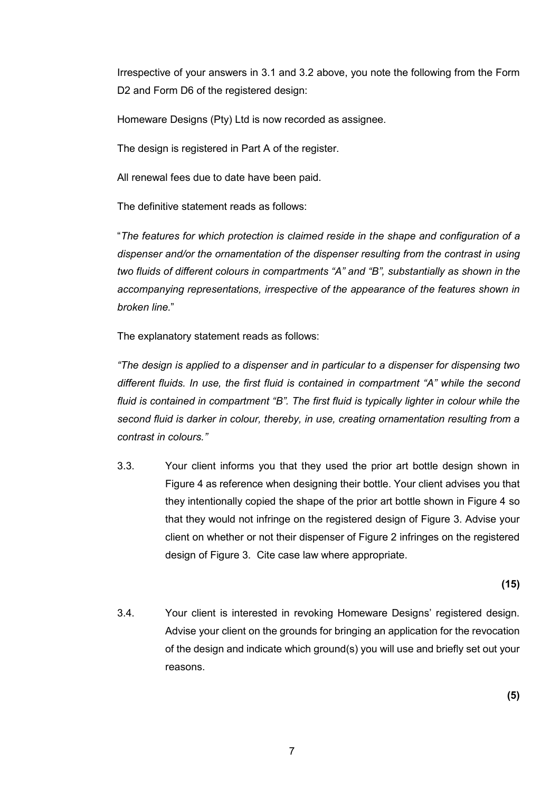Irrespective of your answers in 3.1 and 3.2 above, you note the following from the Form D2 and Form D6 of the registered design:

Homeware Designs (Pty) Ltd is now recorded as assignee.

The design is registered in Part A of the register.

All renewal fees due to date have been paid.

The definitive statement reads as follows:

"*The features for which protection is claimed reside in the shape and configuration of a dispenser and/or the ornamentation of the dispenser resulting from the contrast in using two fluids of different colours in compartments "A" and "B", substantially as shown in the accompanying representations, irrespective of the appearance of the features shown in broken line.*"

The explanatory statement reads as follows:

*"The design is applied to a dispenser and in particular to a dispenser for dispensing two different fluids. In use, the first fluid is contained in compartment "A" while the second fluid is contained in compartment "B". The first fluid is typically lighter in colour while the second fluid is darker in colour, thereby, in use, creating ornamentation resulting from a contrast in colours."*

3.3. Your client informs you that they used the prior art bottle design shown in Figure 4 as reference when designing their bottle. Your client advises you that they intentionally copied the shape of the prior art bottle shown in Figure 4 so that they would not infringe on the registered design of Figure 3. Advise your client on whether or not their dispenser of Figure 2 infringes on the registered design of Figure 3. Cite case law where appropriate.

**(15)**

3.4. Your client is interested in revoking Homeware Designs' registered design. Advise your client on the grounds for bringing an application for the revocation of the design and indicate which ground(s) you will use and briefly set out your reasons.

**(5)**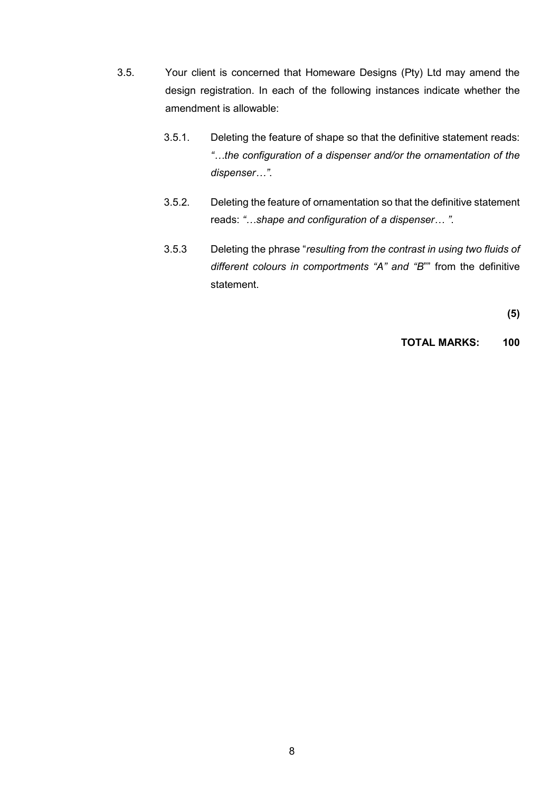- 3.5. Your client is concerned that Homeware Designs (Pty) Ltd may amend the design registration. In each of the following instances indicate whether the amendment is allowable:
	- 3.5.1. Deleting the feature of shape so that the definitive statement reads: *"…the configuration of a dispenser and/or the ornamentation of the dispenser…"*.
	- 3.5.2. Deleting the feature of ornamentation so that the definitive statement reads: *"…shape and configuration of a dispenser… "*.
	- 3.5.3 Deleting the phrase "*resulting from the contrast in using two fluids of different colours in comportments "A" and "B*"" from the definitive statement.

**(5)**

**TOTAL MARKS: 100**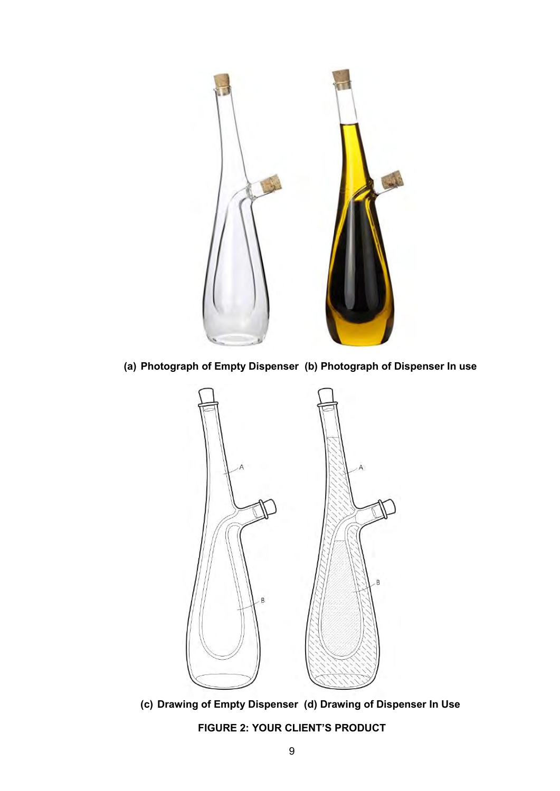

**(a) Photograph of Empty Dispenser (b) Photograph of Dispenser In use**



**(c) Drawing of Empty Dispenser (d) Drawing of Dispenser In Use** 

**FIGURE 2: YOUR CLIENT'S PRODUCT**